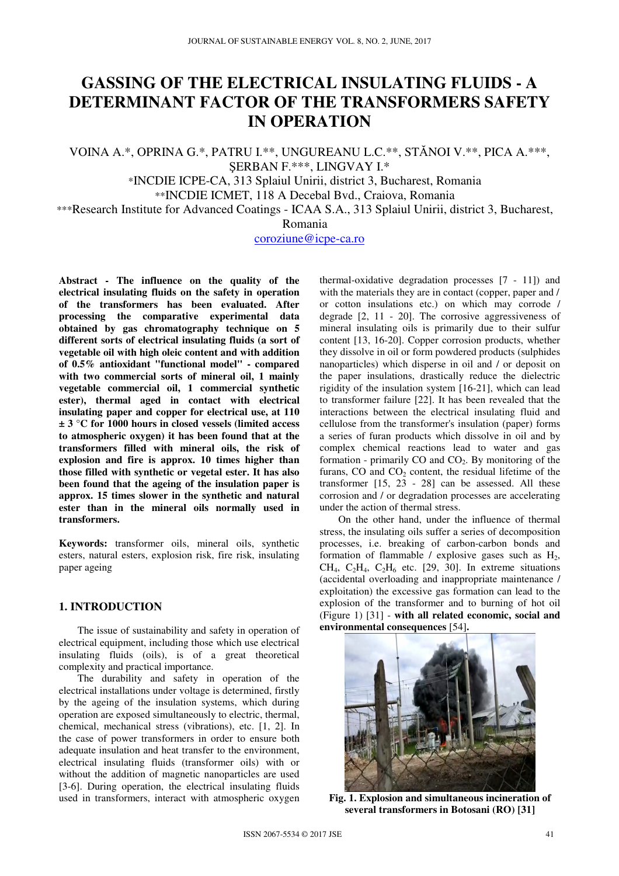# **GASSING OF THE ELECTRICAL INSULATING FLUIDS - A DETERMINANT FACTOR OF THE TRANSFORMERS SAFETY IN OPERATION**

VOINA A.\*, OPRINA G.\*, PATRU I.\*\*, UNGUREANU L.C.\*\*, STĂNOI V.\*\*, PICA A.\*\*\*, ŞERBAN F.\*\*\*, LINGVAY I.\*

\*INCDIE ICPE-CA, 313 Splaiul Unirii, district 3, Bucharest, Romania

\*\*INCDIE ICMET, 118 A Decebal Bvd., Craiova, Romania

\*\*\*Research Institute for Advanced Coatings - ICAA S.A., 313 Splaiul Unirii, district 3, Bucharest,

Romania

coroziune@icpe-ca.ro

**Abstract - The influence on the quality of the electrical insulating fluids on the safety in operation of the transformers has been evaluated. After processing the comparative experimental data obtained by gas chromatography technique on 5 different sorts of electrical insulating fluids (a sort of vegetable oil with high oleic content and with addition of 0.5% antioxidant "functional model" - compared with two commercial sorts of mineral oil, 1 mainly vegetable commercial oil, 1 commercial synthetic ester), thermal aged in contact with electrical insulating paper and copper for electrical use, at 110 ± 3 °C for 1000 hours in closed vessels (limited access to atmospheric oxygen) it has been found that at the transformers filled with mineral oils, the risk of explosion and fire is approx. 10 times higher than those filled with synthetic or vegetal ester. It has also been found that the ageing of the insulation paper is approx. 15 times slower in the synthetic and natural ester than in the mineral oils normally used in transformers.** 

**Keywords:** transformer oils, mineral oils, synthetic esters, natural esters, explosion risk, fire risk, insulating paper ageing

# **1. INTRODUCTION**

The issue of sustainability and safety in operation of electrical equipment, including those which use electrical insulating fluids (oils), is of a great theoretical complexity and practical importance.

The durability and safety in operation of the electrical installations under voltage is determined, firstly by the ageing of the insulation systems, which during operation are exposed simultaneously to electric, thermal, chemical, mechanical stress (vibrations), etc. [1, 2]. In the case of power transformers in order to ensure both adequate insulation and heat transfer to the environment, electrical insulating fluids (transformer oils) with or without the addition of magnetic nanoparticles are used [3-6]. During operation, the electrical insulating fluids used in transformers, interact with atmospheric oxygen

thermal-oxidative degradation processes [7 - 11]) and with the materials they are in contact (copper, paper and / or cotton insulations etc.) on which may corrode / degrade [2, 11 - 20]. The corrosive aggressiveness of mineral insulating oils is primarily due to their sulfur content [13, 16-20]. Copper corrosion products, whether they dissolve in oil or form powdered products (sulphides nanoparticles) which disperse in oil and / or deposit on the paper insulations, drastically reduce the dielectric rigidity of the insulation system [16-21], which can lead to transformer failure [22]. It has been revealed that the interactions between the electrical insulating fluid and cellulose from the transformer's insulation (paper) forms a series of furan products which dissolve in oil and by complex chemical reactions lead to water and gas formation - primarily  $CO$  and  $CO<sub>2</sub>$ . By monitoring of the furans,  $CO$  and  $CO<sub>2</sub>$  content, the residual lifetime of the transformer [15, 23 - 28] can be assessed. All these corrosion and / or degradation processes are accelerating under the action of thermal stress.

On the other hand, under the influence of thermal stress, the insulating oils suffer a series of decomposition processes, i.e. breaking of carbon-carbon bonds and formation of flammable / explosive gases such as  $H_2$ , CH<sub>4</sub>, C<sub>2</sub>H<sub>4</sub>, C<sub>2</sub>H<sub>6</sub> etc. [29, 30]. In extreme situations (accidental overloading and inappropriate maintenance / exploitation) the excessive gas formation can lead to the explosion of the transformer and to burning of hot oil (Figure 1) [31] - **with all related economic, social and environmental consequences** [54]**.** 



**Fig. 1. Explosion and simultaneous incineration of several transformers in Botosani (RO) [31]**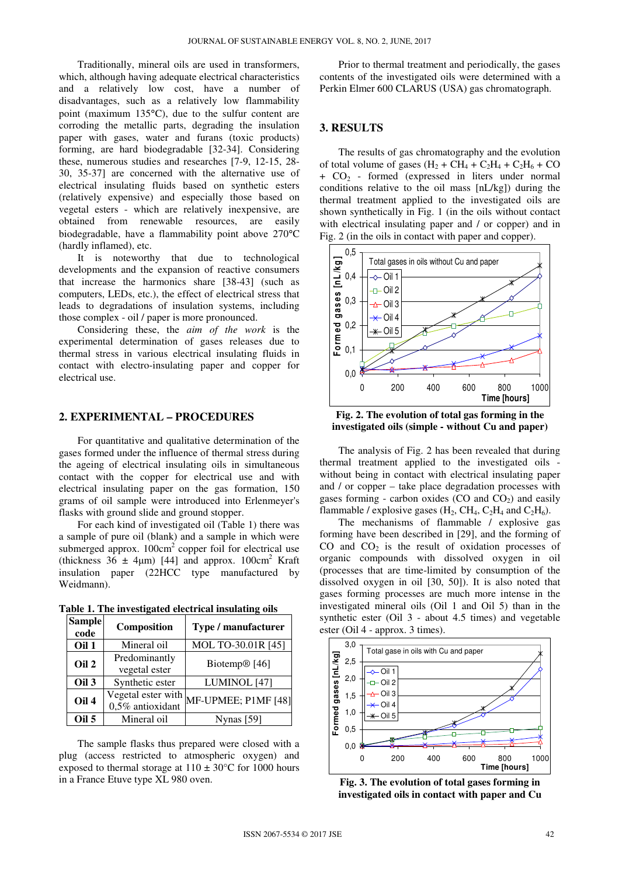Traditionally, mineral oils are used in transformers, which, although having adequate electrical characteristics and a relatively low cost, have a number of disadvantages, such as a relatively low flammability point (maximum 135°C), due to the sulfur content are corroding the metallic parts, degrading the insulation paper with gases, water and furans (toxic products) forming, are hard biodegradable [32-34]. Considering these, numerous studies and researches [7-9, 12-15, 28- 30, 35-37] are concerned with the alternative use of electrical insulating fluids based on synthetic esters (relatively expensive) and especially those based on vegetal esters - which are relatively inexpensive, are obtained from renewable resources, are easily biodegradable, have a flammability point above 270°C (hardly inflamed), etc.

It is noteworthy that due to technological developments and the expansion of reactive consumers that increase the harmonics share [38-43] (such as computers, LEDs, etc.), the effect of electrical stress that leads to degradations of insulation systems, including those complex - oil / paper is more pronounced.

Considering these, the *aim of the work* is the experimental determination of gases releases due to thermal stress in various electrical insulating fluids in contact with electro-insulating paper and copper for electrical use.

### **2. EXPERIMENTAL – PROCEDURES**

For quantitative and qualitative determination of the gases formed under the influence of thermal stress during the ageing of electrical insulating oils in simultaneous contact with the copper for electrical use and with electrical insulating paper on the gas formation, 150 grams of oil sample were introduced into Erlenmeyer's flasks with ground slide and ground stopper.

For each kind of investigated oil (Table 1) there was a sample of pure oil (blank) and a sample in which were submerged approx.  $100 \text{cm}^2$  copper foil for electrical use (thickness  $36 \pm 4\mu$ m) [44] and approx.  $100 \text{cm}^2$  Kraft insulation paper (22HCC type manufactured by Weidmann).

|        | Table 1. The investigated electrical insulating oils |  |  |
|--------|------------------------------------------------------|--|--|
| Sample |                                                      |  |  |

| <b>Sample</b><br>code | Composition                            | Type / manufacturer       |
|-----------------------|----------------------------------------|---------------------------|
| Oil 1                 | Mineral oil                            | MOL TO-30.01R [45]        |
| Oil 2                 | Predominantly<br>vegetal ester         | Biotemp <sup>®</sup> [46] |
| Oil 3                 | Synthetic ester                        | LUMINOL [47]              |
| Oil 4                 | Vegetal ester with<br>0,5% antioxidant | MF-UPMEE; P1MF [48]       |
| Oil 5                 | Mineral oil                            | <b>Nynas</b> [59]         |

The sample flasks thus prepared were closed with a plug (access restricted to atmospheric oxygen) and exposed to thermal storage at  $110 \pm 30^{\circ}$ C for 1000 hours in a France Etuve type XL 980 oven.

Prior to thermal treatment and periodically, the gases contents of the investigated oils were determined with a Perkin Elmer 600 CLARUS (USA) gas chromatograph.

#### **3. RESULTS**

The results of gas chromatography and the evolution of total volume of gases  $(H_2 + CH_4 + C_2H_4 + C_2H_6 + CO$  $+ CO<sub>2</sub>$  - formed (expressed in liters under normal conditions relative to the oil mass [nL/kg]) during the thermal treatment applied to the investigated oils are shown synthetically in Fig. 1 (in the oils without contact with electrical insulating paper and / or copper) and in Fig. 2 (in the oils in contact with paper and copper).



**Fig. 2. The evolution of total gas forming in the investigated oils (simple - without Cu and paper)** 

The analysis of Fig. 2 has been revealed that during thermal treatment applied to the investigated oils without being in contact with electrical insulating paper and / or copper – take place degradation processes with gases forming - carbon oxides  $(CO \text{ and } CO<sub>2</sub>)$  and easily flammable / explosive gases  $(H_2, CH_4, C_2H_4$  and  $C_2H_6$ ).

The mechanisms of flammable / explosive gas forming have been described in [29], and the forming of CO and  $CO<sub>2</sub>$  is the result of oxidation processes of organic compounds with dissolved oxygen in oil (processes that are time-limited by consumption of the dissolved oxygen in oil [30, 50]). It is also noted that gases forming processes are much more intense in the investigated mineral oils (Oil 1 and Oil 5) than in the synthetic ester (Oil 3 - about 4.5 times) and vegetable ester (Oil 4 - approx. 3 times).



**Fig. 3. The evolution of total gases forming in investigated oils in contact with paper and Cu**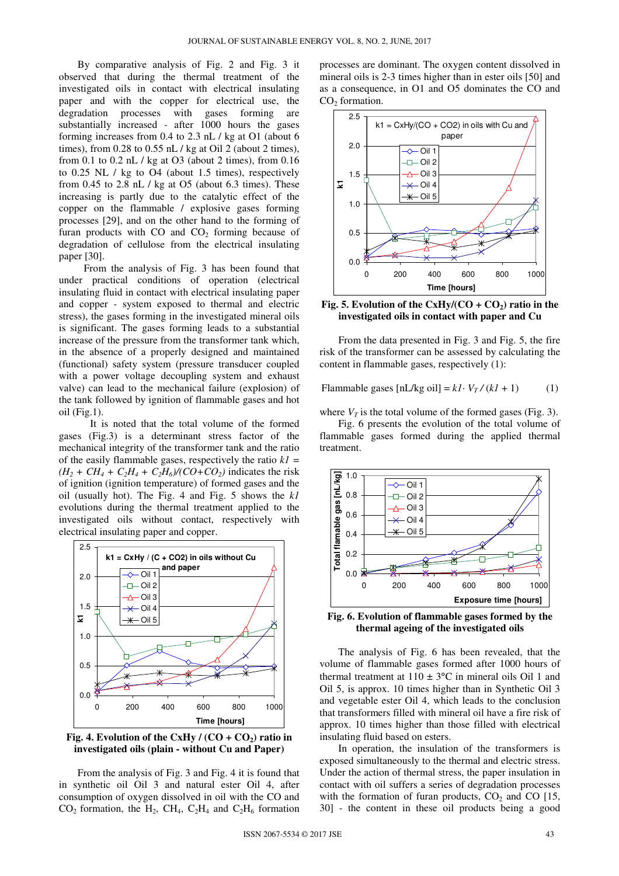By comparative analysis of Fig. 2 and Fig. 3 it observed that during the thermal treatment of the investigated oils in contact with electrical insulating paper and with the copper for electrical use, the degradation processes with gases forming are substantially increased - after 1000 hours the gases forming increases from 0.4 to 2.3 nL / kg at O1 (about 6 times), from  $0.28$  to  $0.55$  nL / kg at Oil 2 (about 2 times), from 0.1 to 0.2 nL / kg at O3 (about 2 times), from 0.16 to 0.25 NL / kg to O4 (about 1.5 times), respectively from  $0.45$  to  $2.8$  nL  $/$  kg at  $0.5$  (about  $6.3$  times). These increasing is partly due to the catalytic effect of the copper on the flammable / explosive gases forming processes [29], and on the other hand to the forming of furan products with  $CO$  and  $CO<sub>2</sub>$  forming because of degradation of cellulose from the electrical insulating paper [30].

From the analysis of Fig. 3 has been found that under practical conditions of operation (electrical insulating fluid in contact with electrical insulating paper and copper - system exposed to thermal and electric stress), the gases forming in the investigated mineral oils is significant. The gases forming leads to a substantial increase of the pressure from the transformer tank which, in the absence of a properly designed and maintained (functional) safety system (pressure transducer coupled with a power voltage decoupling system and exhaust valve) can lead to the mechanical failure (explosion) of the tank followed by ignition of flammable gases and hot oil (Fig.1).

It is noted that the total volume of the formed gases (Fig.3) is a determinant stress factor of the mechanical integrity of the transformer tank and the ratio of the easily flammable gases, respectively the ratio *k1 =*   $(H_2 + CH_4 + C_2H_4 + C_2H_6)/(CO + CO_2)$  indicates the risk of ignition (ignition temperature) of formed gases and the oil (usually hot). The Fig. 4 and Fig. 5 shows the *k1* evolutions during the thermal treatment applied to the investigated oils without contact, respectively with electrical insulating paper and copper.



**Fig. 4. Evolution of the CxHy /**  $(CO + CO_2)$  **ratio in investigated oils (plain - without Cu and Paper)** 

From the analysis of Fig. 3 and Fig. 4 it is found that in synthetic oil Oil 3 and natural ester Oil 4, after consumption of oxygen dissolved in oil with the CO and  $CO<sub>2</sub>$  formation, the H<sub>2</sub>, CH<sub>4</sub>, C<sub>2</sub>H<sub>4</sub> and C<sub>2</sub>H<sub>6</sub> formation

processes are dominant. The oxygen content dissolved in mineral oils is 2-3 times higher than in ester oils [50] and as a consequence, in O1 and O5 dominates the CO and  $CO<sub>2</sub>$  formation.



Fig. 5. Evolution of the  $CxHy/(CO + CO_2)$  ratio in the **investigated oils in contact with paper and Cu** 

From the data presented in Fig. 3 and Fig. 5, the fire risk of the transformer can be assessed by calculating the content in flammable gases, respectively (1):

Flammable gases  $[nL/kg \text{ oil}] = k1 \cdot V_T / (k1 + 1)$  (1)

where  $V_T$  is the total volume of the formed gases (Fig. 3).

Fig. 6 presents the evolution of the total volume of flammable gases formed during the applied thermal treatment.



**Fig. 6. Evolution of flammable gases formed by the thermal ageing of the investigated oils** 

The analysis of Fig. 6 has been revealed, that the volume of flammable gases formed after 1000 hours of thermal treatment at  $110 \pm 3$ °C in mineral oils Oil 1 and Oil 5, is approx. 10 times higher than in Synthetic Oil 3 and vegetable ester Oil 4, which leads to the conclusion that transformers filled with mineral oil have a fire risk of approx. 10 times higher than those filled with electrical insulating fluid based on esters.

In operation, the insulation of the transformers is exposed simultaneously to the thermal and electric stress. Under the action of thermal stress, the paper insulation in contact with oil suffers a series of degradation processes with the formation of furan products,  $CO<sub>2</sub>$  and CO [15, 30] - the content in these oil products being a good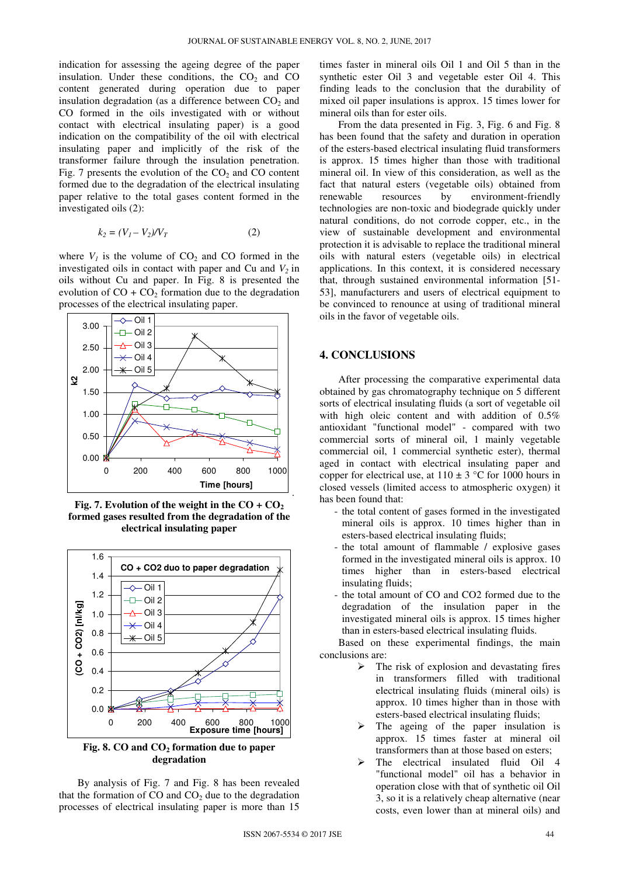indication for assessing the ageing degree of the paper insulation. Under these conditions, the  $CO<sub>2</sub>$  and  $CO<sub>2</sub>$ content generated during operation due to paper insulation degradation (as a difference between  $CO<sub>2</sub>$  and CO formed in the oils investigated with or without contact with electrical insulating paper) is a good indication on the compatibility of the oil with electrical insulating paper and implicitly of the risk of the transformer failure through the insulation penetration. Fig. 7 presents the evolution of the  $CO<sub>2</sub>$  and  $CO$  content formed due to the degradation of the electrical insulating paper relative to the total gases content formed in the investigated oils (2):

$$
k_2 = (V_1 - V_2) / V_T \tag{2}
$$

where  $V_I$  is the volume of  $CO_2$  and CO formed in the investigated oils in contact with paper and Cu and  $V_2$  in oils without Cu and paper. In Fig. 8 is presented the evolution of  $CO + CO<sub>2</sub>$  formation due to the degradation processes of the electrical insulating paper.



**Fig. 7. Evolution of the weight in the**  $CO + CO<sub>2</sub>$ **formed gases resulted from the degradation of the electrical insulating paper** 



**Fig. 8. CO and CO2 formation due to paper degradation** 

By analysis of Fig. 7 and Fig. 8 has been revealed that the formation of  $CO$  and  $CO<sub>2</sub>$  due to the degradation processes of electrical insulating paper is more than 15

times faster in mineral oils Oil 1 and Oil 5 than in the synthetic ester Oil 3 and vegetable ester Oil 4. This finding leads to the conclusion that the durability of mixed oil paper insulations is approx. 15 times lower for mineral oils than for ester oils.

From the data presented in Fig. 3, Fig. 6 and Fig. 8 has been found that the safety and duration in operation of the esters-based electrical insulating fluid transformers is approx. 15 times higher than those with traditional mineral oil. In view of this consideration, as well as the fact that natural esters (vegetable oils) obtained from renewable resources by environment-friendly technologies are non-toxic and biodegrade quickly under natural conditions, do not corrode copper, etc., in the view of sustainable development and environmental protection it is advisable to replace the traditional mineral oils with natural esters (vegetable oils) in electrical applications. In this context, it is considered necessary that, through sustained environmental information [51- 53], manufacturers and users of electrical equipment to be convinced to renounce at using of traditional mineral oils in the favor of vegetable oils.

#### **4. CONCLUSIONS**

After processing the comparative experimental data obtained by gas chromatography technique on 5 different sorts of electrical insulating fluids (a sort of vegetable oil with high oleic content and with addition of 0.5% antioxidant "functional model" - compared with two commercial sorts of mineral oil, 1 mainly vegetable commercial oil, 1 commercial synthetic ester), thermal aged in contact with electrical insulating paper and copper for electrical use, at  $110 \pm 3$  °C for 1000 hours in closed vessels (limited access to atmospheric oxygen) it has been found that:

- the total content of gases formed in the investigated mineral oils is approx. 10 times higher than in esters-based electrical insulating fluids;
- the total amount of flammable / explosive gases formed in the investigated mineral oils is approx. 10 times higher than in esters-based electrical insulating fluids;
- the total amount of CO and CO2 formed due to the degradation of the insulation paper in the investigated mineral oils is approx. 15 times higher than in esters-based electrical insulating fluids.

Based on these experimental findings, the main conclusions are:

- $\triangleright$  The risk of explosion and devastating fires in transformers filled with traditional electrical insulating fluids (mineral oils) is approx. 10 times higher than in those with esters-based electrical insulating fluids;
- The ageing of the paper insulation is approx. 15 times faster at mineral oil transformers than at those based on esters;
- The electrical insulated fluid Oil 4 "functional model" oil has a behavior in operation close with that of synthetic oil Oil 3, so it is a relatively cheap alternative (near costs, even lower than at mineral oils) and

.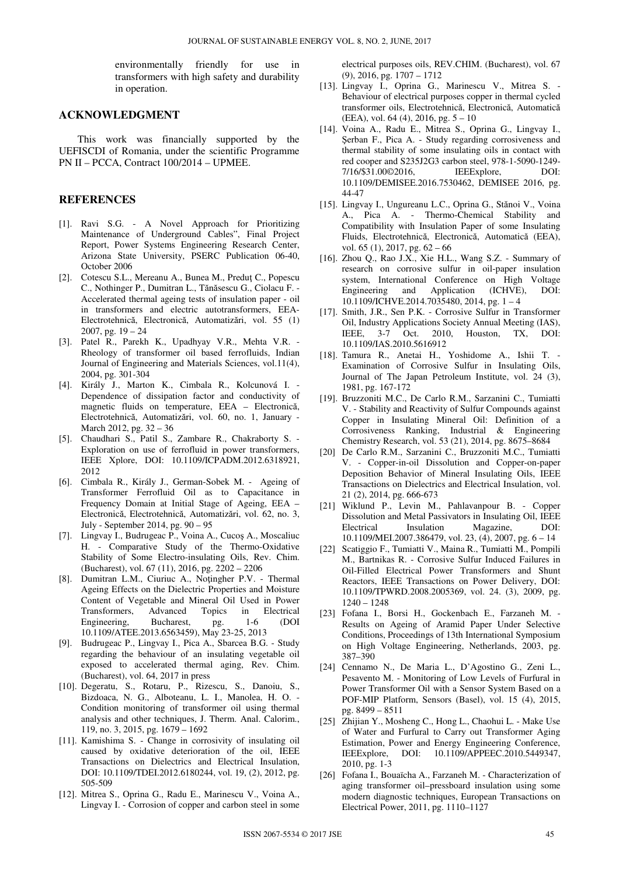environmentally friendly for use in transformers with high safety and durability in operation.

#### **ACKNOWLEDGMENT**

This work was financially supported by the UEFISCDI of Romania, under the scientific Programme PN II – PCCA, Contract 100/2014 – UPMEE.

## **REFERENCES**

- [1]. Ravi S.G. A Novel Approach for Prioritizing Maintenance of Underground Cables", Final Project Report, Power Systems Engineering Research Center, Arizona State University, PSERC Publication 06-40, October 2006
- [2]. Cotescu S.L., Mereanu A., Bunea M., Preduţ C., Popescu C., Nothinger P., Dumitran L., Tănăsescu G., Ciolacu F. - Accelerated thermal ageing tests of insulation paper - oil in transformers and electric autotransformers, EEA-Electrotehnică, Electronică, Automatizări, vol. 55 (1) 2007, pg.  $19 - 24$
- [3]. Patel R., Parekh K., Upadhyay V.R., Mehta V.R. Rheology of transformer oil based ferrofluids, Indian Journal of Engineering and Materials Sciences, vol.11(4), 2004, pg. 301-304
- [4]. Király J., Marton K., Cimbala R., Kolcunová I. Dependence of dissipation factor and conductivity of magnetic fluids on temperature, EEA – Electronică, Electrotehnică, Automatizări, vol. 60, no. 1, January - March 2012, pg. 32 – 36
- [5]. Chaudhari S., Patil S., Zambare R., Chakraborty S. Exploration on use of ferrofluid in power transformers, IEEE Xplore, DOI: 10.1109/ICPADM.2012.6318921, 2012
- [6]. Cimbala R., Király J., German-Sobek M. Ageing of Transformer Ferrofluid Oil as to Capacitance in Frequency Domain at Initial Stage of Ageing, EEA – Electronică, Electrotehnică, Automatizări, vol. 62, no. 3, July - September 2014, pg. 90 – 95
- [7]. Lingvay I., Budrugeac P., Voina A., Cucoş A., Moscaliuc H. - Comparative Study of the Thermo-Oxidative Stability of Some Electro-insulating Oils, Rev. Chim. (Bucharest), vol. 67 (11), 2016, pg. 2202 – 2206
- [8]. Dumitran L.M., Ciuriuc A., Noţingher P.V. Thermal Ageing Effects on the Dielectric Properties and Moisture Content of Vegetable and Mineral Oil Used in Power Transformers, Advanced Topics in Electrical Engineering, Bucharest, pg. 1-6 (DOI 10.1109/ATEE.2013.6563459), May 23-25, 2013
- [9]. Budrugeac P., Lingvay I., Pica A., Sbarcea B.G. Study regarding the behaviour of an insulating vegetable oil exposed to accelerated thermal aging, Rev. Chim. (Bucharest), vol. 64, 2017 in press
- [10]. Degeratu, S., Rotaru, P., Rizescu, S., Danoiu, S., Bizdoaca, N. G., Alboteanu, L. I., Manolea, H. O. - Condition monitoring of transformer oil using thermal analysis and other techniques, J. Therm. Anal. Calorim., 119, no. 3, 2015, pg. 1679 – 1692
- [11]. Kamishima S. Change in corrosivity of insulating oil caused by oxidative deterioration of the oil, IEEE Transactions on Dielectrics and Electrical Insulation, DOI: 10.1109/TDEI.2012.6180244, vol. 19, (2), 2012, pg. 505-509
- [12]. Mitrea S., Oprina G., Radu E., Marinescu V., Voina A., Lingvay I. - Corrosion of copper and carbon steel in some

electrical purposes oils, REV.CHIM. (Bucharest), vol. 67 (9), 2016, pg. 1707 – 1712

- [13]. Lingvay I., Oprina G., Marinescu V., Mitrea S. Behaviour of electrical purposes copper in thermal cycled transformer oils, Electrotehnică, Electronică, Automatică (EEA), vol. 64 (4), 2016, pg. 5 – 10
- [14]. Voina A., Radu E., Mitrea S., Oprina G., Lingvay I., Şerban F., Pica A. - Study regarding corrosiveness and thermal stability of some insulating oils in contact with red cooper and S235J2G3 carbon steel, 978-1-5090-1249- 7/16/\$31.00©2016, IEEExplore, DOI: 10.1109/DEMISEE.2016.7530462, DEMISEE 2016, pg. 44-47
- [15]. Lingvay I., Ungureanu L.C., Oprina G., Stănoi V., Voina A., Pica A. - Thermo-Chemical Stability and Compatibility with Insulation Paper of some Insulating Fluids, Electrotehnică, Electronică, Automatică (EEA), vol. 65 (1), 2017, pg. 62 – 66
- [16]. Zhou Q., Rao J.X., Xie H.L., Wang S.Z. Summary of research on corrosive sulfur in oil-paper insulation system, International Conference on High Voltage Engineering and Application (ICHVE), DOI: 10.1109/ICHVE.2014.7035480, 2014, pg. 1 – 4
- [17]. Smith, J.R., Sen P.K. Corrosive Sulfur in Transformer Oil, Industry Applications Society Annual Meeting (IAS), IEEE, 3-7 Oct. 2010, Houston, TX, DOI: 10.1109/IAS.2010.5616912
- [18]. Tamura R., Anetai H., Yoshidome A., Ishii T. Examination of Corrosive Sulfur in Insulating Oils, Journal of The Japan Petroleum Institute, vol. 24 (3), 1981, pg. 167-172
- [19]. Bruzzoniti M.C., De Carlo R.M., Sarzanini C., Tumiatti V. - Stability and Reactivity of Sulfur Compounds against Copper in Insulating Mineral Oil: Definition of a Corrosiveness Ranking, Industrial & Engineering Chemistry Research, vol. 53 (21), 2014, pg. 8675–8684
- [20] De Carlo R.M., Sarzanini C., Bruzzoniti M.C., Tumiatti V. - Copper-in-oil Dissolution and Copper-on-paper Deposition Behavior of Mineral Insulating Oils, IEEE Transactions on Dielectrics and Electrical Insulation, vol. 21 (2), 2014, pg. 666-673
- [21] Wiklund P., Levin M., Pahlavanpour B. Copper Dissolution and Metal Passivators in Insulating Oil, IEEE Electrical Insulation Magazine, DOI: 10.1109/MEI.2007.386479, vol. 23, (4), 2007, pg. 6 – 14
- [22] Scatiggio F., Tumiatti V., Maina R., Tumiatti M., Pompili M., Bartnikas R. - Corrosive Sulfur Induced Failures in Oil-Filled Electrical Power Transformers and Shunt Reactors, IEEE Transactions on Power Delivery, DOI: 10.1109/TPWRD.2008.2005369, vol. 24. (3), 2009, pg. 1240 – 1248
- [23] Fofana I., Borsi H., Gockenbach E., Farzaneh M. Results on Ageing of Aramid Paper Under Selective Conditions, Proceedings of 13th International Symposium on High Voltage Engineering, Netherlands, 2003, pg. 387–390
- [24] Cennamo N., De Maria L., D'Agostino G., Zeni L., Pesavento M. - Monitoring of Low Levels of Furfural in Power Transformer Oil with a Sensor System Based on a POF-MIP Platform, Sensors (Basel), vol. 15 (4), 2015, pg. 8499 – 8511
- [25] Zhijian Y., Mosheng C., Hong L., Chaohui L. Make Use of Water and Furfural to Carry out Transformer Aging Estimation, Power and Energy Engineering Conference, IEEExplore, DOI: 10.1109/APPEEC.2010.5449347, 2010, pg. 1-3
- [26] Fofana I., Bouaïcha A., Farzaneh M. Characterization of aging transformer oil–pressboard insulation using some modern diagnostic techniques, European Transactions on Electrical Power, 2011, pg. 1110–1127